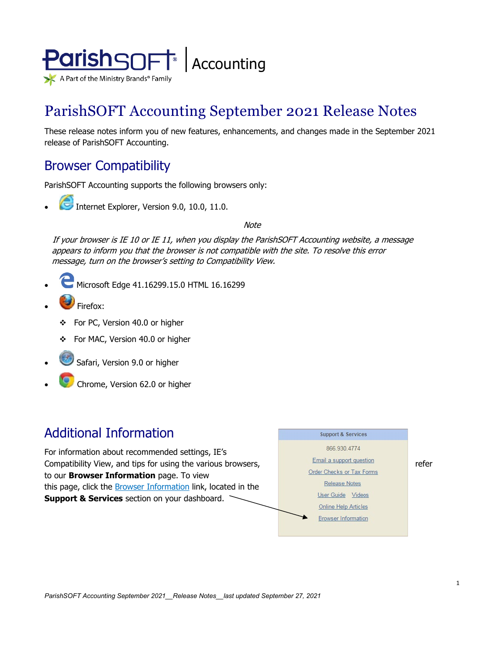

# ParishSOFT Accounting September 2021 Release Notes

These release notes inform you of new features, enhancements, and changes made in the September 2021 release of ParishSOFT Accounting.

## Browser Compatibility

ParishSOFT Accounting supports the following browsers only:

**• Internet Explorer, Version 9.0, 10.0, 11.0.** 

**Note** 

If your browser is IE 10 or IE 11, when you display the ParishSOFT Accounting website, a message appears to inform you that the browser is not compatible with the site. To resolve this error message, turn on the browser's setting to Compatibility View.

- Microsoft Edge 41.16299.15.0 HTML 16.16299
- Firefox:
	- For PC, Version 40.0 or higher
	- For MAC, Version 40.0 or higher
- Safari, Version 9.0 or higher
- Chrome, Version 62.0 or higher

## Additional Information

For information about recommended settings, IE's Compatibility View, and tips for using the various browsers,<br>  $\begin{array}{c|c}\n\hline\n\text{Small a support question} \\
\hline\n\text{Order Checks or Tax Forms}\n\end{array}$  refer to our **Browser Information** page. To view this page, click the **Browser Information** link, located in the **Support & Services** section on your dashboard.

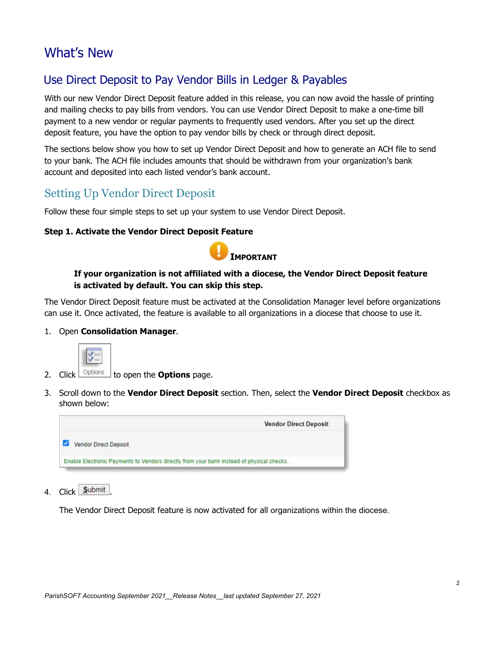## What's New

## Use Direct Deposit to Pay Vendor Bills in Ledger & Payables

With our new Vendor Direct Deposit feature added in this release, you can now avoid the hassle of printing and mailing checks to pay bills from vendors. You can use Vendor Direct Deposit to make a one-time bill payment to a new vendor or regular payments to frequently used vendors. After you set up the direct deposit feature, you have the option to pay vendor bills by check or through direct deposit.

The sections below show you how to set up Vendor Direct Deposit and how to generate an ACH file to send to your bank. The ACH file includes amounts that should be withdrawn from your organization's bank account and deposited into each listed vendor's bank account.

## <span id="page-1-0"></span>Setting Up Vendor Direct Deposit

Follow these four simple steps to set up your system to use Vendor Direct Deposit.

#### **Step 1. Activate the Vendor Direct Deposit Feature**



#### **If your organization is not affiliated with a diocese, the Vendor Direct Deposit feature is activated by default. You can skip this step.**

The Vendor Direct Deposit feature must be activated at the Consolidation Manager level before organizations can use it. Once activated, the feature is available to all organizations in a diocese that choose to use it.

1. Open **Consolidation Manager**.



- 2. Click  $\sqrt{\frac{Options}{}}$  to open the **Options** page.
- 3. Scroll down to the **Vendor Direct Deposit** section. Then, select the **Vendor Direct Deposit** checkbox as shown below:



4. Click Submit

The Vendor Direct Deposit feature is now activated for all organizations within the diocese.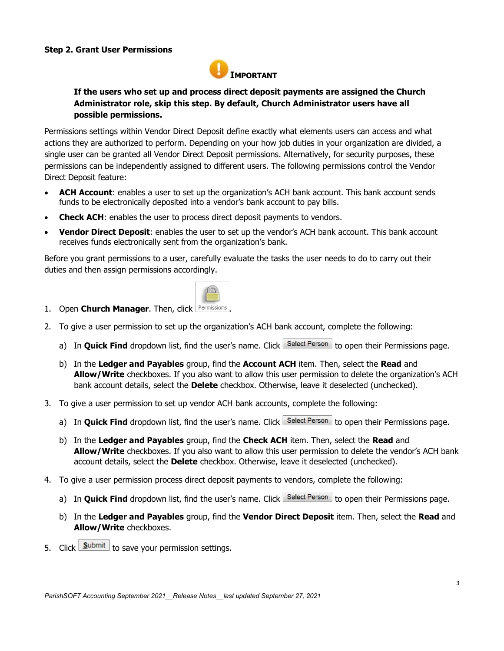#### <span id="page-2-0"></span>**Step 2. Grant User Permissions**



#### **If the users who set up and process direct deposit payments are assigned the Church Administrator role, skip this step. By default, Church Administrator users have all possible permissions.**

Permissions settings within Vendor Direct Deposit define exactly what elements users can access and what actions they are authorized to perform. Depending on your how job duties in your organization are divided, a single user can be granted all Vendor Direct Deposit permissions. Alternatively, for security purposes, these permissions can be independently assigned to different users. The following permissions control the Vendor Direct Deposit feature:

- **ACH Account**: enables a user to set up the organization's ACH bank account. This bank account sends funds to be electronically deposited into a vendor's bank account to pay bills.
- **Check ACH:** enables the user to process direct deposit payments to vendors.
- **Vendor Direct Deposit**: enables the user to set up the vendor's ACH bank account. This bank account receives funds electronically sent from the organization's bank.

Before you grant permissions to a user, carefully evaluate the tasks the user needs to do to carry out their duties and then assign permissions accordingly.



- 1. Open **Church Manager**. Then, click **Permissions**
- 2. To give a user permission to set up the organization's ACH bank account, complete the following:
	- a) In **Quick Find** dropdown list, find the user's name. Click Select Person to open their Permissions page.
	- b) In the **Ledger and Payables** group, find the **Account ACH** item. Then, select the **Read** and **Allow/Write** checkboxes. If you also want to allow this user permission to delete the organization's ACH bank account details, select the **Delete** checkbox. Otherwise, leave it deselected (unchecked).
- 3. To give a user permission to set up vendor ACH bank accounts, complete the following:
	- a) In **Quick Find** dropdown list, find the user's name. Click Select Person to open their Permissions page.
	- b) In the **Ledger and Payables** group, find the **Check ACH** item. Then, select the **Read** and **Allow/Write** checkboxes. If you also want to allow this user permission to delete the vendor's ACH bank account details, select the **Delete** checkbox. Otherwise, leave it deselected (unchecked).
- 4. To give a user permission process direct deposit payments to vendors, complete the following:
	- a) In **Quick Find** dropdown list, find the user's name. Click Select Person to open their Permissions page.
	- b) In the **Ledger and Payables** group, find the **Vendor Direct Deposit** item. Then, select the **Read** and **Allow/Write** checkboxes.
- 5. Click **Submit** to save your permission settings.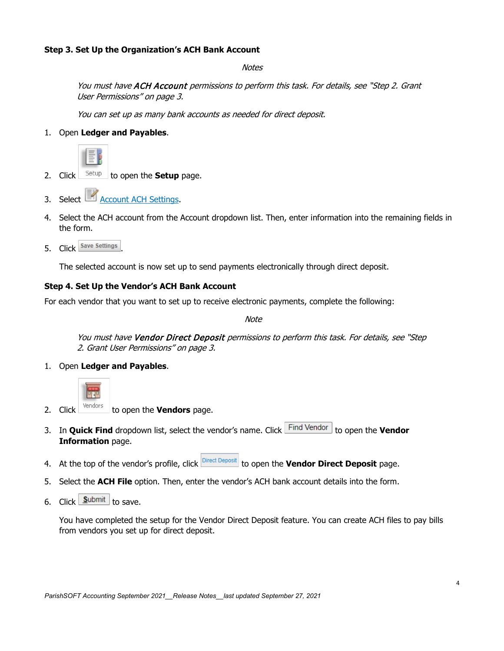#### <span id="page-3-0"></span>**Step 3. Set Up the Organization's ACH Bank Account**

**Notes** 

You must have ACH Account permissions to perform this task. For details, see ["Step](#page-2-0) 2. Grant User [Permissions"](#page-2-0) on pag[e 3.](#page-2-0)

You can set up as many bank accounts as needed for direct deposit.

1. Open **Ledger and Payables**.



- 2. Click  $\frac{\text{Setup}}{\text{Step}}$  to open the **Setup** page.
- 3. Select **Account ACH Settings.**
- 4. Select the ACH account from the Account dropdown list. Then, enter information into the remaining fields in the form.
- 5. Click Save Settings

The selected account is now set up to send payments electronically through direct deposit.

#### **Step 4. Set Up the Vendor's ACH Bank Account**

For each vendor that you want to set up to receive electronic payments, complete the following:

Note

You must have Vendor Direct Deposit permissions to perform this task. For details, see ["Step](#page-2-0) 2. Grant User [Permissions"](#page-2-0) on pag[e 3.](#page-2-0)

1. Open **Ledger and Payables**.



- 2. Click <sup>Vendors</sup> to open the **Vendors** page.
- 3. In **Quick Find** dropdown list, select the vendor's name. Click Find Vendor to open the **Vendor Information** page.
- 4. At the top of the vendor's profile, click **Direct Deposit** to open the **Vendor Direct Deposit** page.
- 5. Select the **ACH File** option. Then, enter the vendor's ACH bank account details into the form.
- 6. Click  $\frac{\textsf{Submit}}{\textsf{submit}}$  to save.

You have completed the setup for the Vendor Direct Deposit feature. You can create ACH files to pay bills from vendors you set up for direct deposit.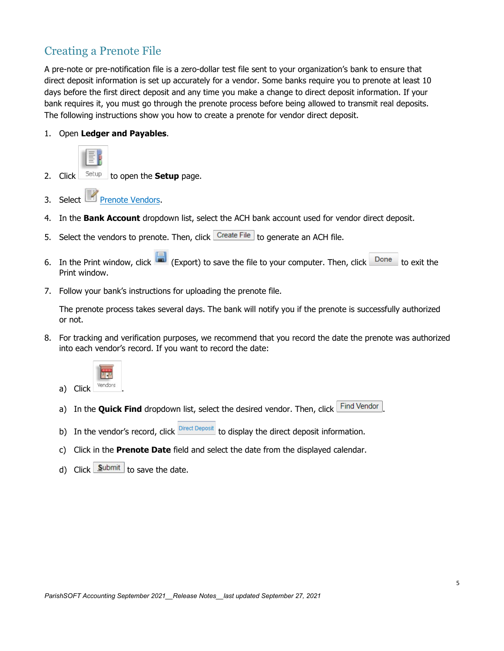## Creating a Prenote File

A pre-note or pre-notification file is a zero-dollar test file sent to your organization's bank to ensure that direct deposit information is set up accurately for a vendor. Some banks require you to prenote at least 10 days before the first direct deposit and any time you make a change to direct deposit information. If your bank requires it, you must go through the prenote process before being allowed to transmit real deposits. The following instructions show you how to create a prenote for vendor direct deposit.

1. Open **Ledger and Payables**.



- 2. Click  $S_{\text{etup}}$  to open the **Setup** page.
- 3. Select **Prenote Vendors.**
- 4. In the **Bank Account** dropdown list, select the ACH bank account used for vendor direct deposit.
- 5. Select the vendors to prenote. Then, click  $\sqrt{\frac{1}{n}}$  converted an ACH file.
- 6. In the Print window, click  $\Box$  (Export) to save the file to your computer. Then, click  $\Box$  Done to exit the Print window.
- 7. Follow your bank's instructions for uploading the prenote file.

The prenote process takes several days. The bank will notify you if the prenote is successfully authorized or not.

8. For tracking and verification purposes, we recommend that you record the date the prenote was authorized into each vendor's record. If you want to record the date:



- a) In the **Quick Find** dropdown list, select the desired vendor. Then, click Find Vendor
- b) In the vendor's record, click  $\frac{Direct\ Descript{Deposit}}{Direct\ Descript{Deposit}}$  to display the direct deposit information.
- c) Click in the **Prenote Date** field and select the date from the displayed calendar.
- d) Click  $\frac{\textsf{Submit}}{\textsf{with}}$  to save the date.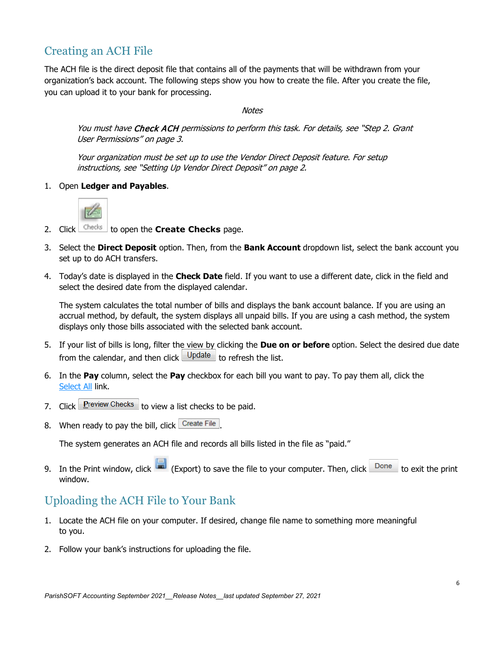## Creating an ACH File

The ACH file is the direct deposit file that contains all of the payments that will be withdrawn from your organization's back account. The following steps show you how to create the file. After you create the file, you can upload it to your bank for processing.

#### **Notes**

You must have Check ACH permissions to perform this task. For details, see ["Step](#page-2-0) 2. Grant User [Permissions"](#page-2-0) on pag[e 3.](#page-2-0)

Your organization must be set up to use the Vendor Direct Deposit feature. For setup instructions, see ["Setting Up Vendor Direct Deposit"](#page-1-0) on pag[e 2.](#page-1-0)

1. Open **Ledger and Payables**.



- 2. Click checks to open the **Create Checks** page.
- 3. Select the **Direct Deposit** option. Then, from the **Bank Account** dropdown list, select the bank account you set up to do ACH transfers.
- 4. Today's date is displayed in the **Check Date** field. If you want to use a different date, click in the field and select the desired date from the displayed calendar.

The system calculates the total number of bills and displays the bank account balance. If you are using an accrual method, by default, the system displays all unpaid bills. If you are using a cash method, the system displays only those bills associated with the selected bank account.

- 5. If your list of bills is long, filter the view by clicking the **Due on or before** option. Select the desired due date from the calendar, and then click  $\bigcup^{\text{Update}}$  to refresh the list.
- 6. In the **Pay** column, select the **Pay** checkbox for each bill you want to pay. To pay them all, click the Select All link.
- 7 Click Preview Checks to view a list checks to be paid.
- 8. When ready to pay the bill, click Create File

The system generates an ACH file and records all bills listed in the file as "paid."

9. In the Print window, click  $\Box$  (Export) to save the file to your computer. Then, click  $\Box$  Done to exit the print window.

## Uploading the ACH File to Your Bank

- 1. Locate the ACH file on your computer. If desired, change file name to something more meaningful to you.
- 2. Follow your bank's instructions for uploading the file.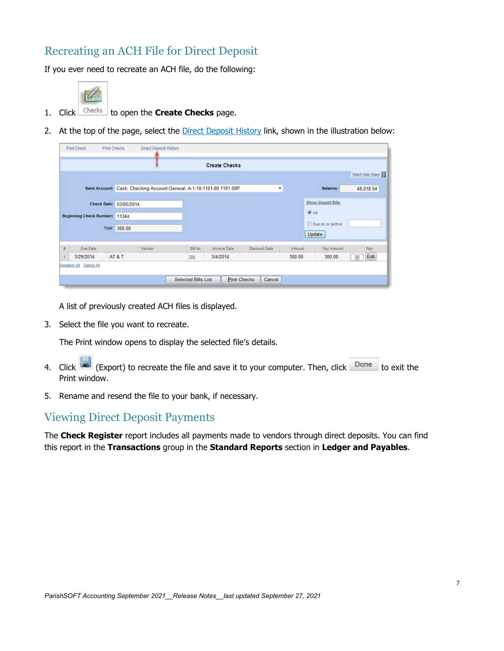## Recreating an ACH File for Direct Deposit

If you ever need to recreate an ACH file, do the following:



- 1. Click <sup>Checks</sup> to open the **Create Checks** page.
- 2. At the top of the page, select the Direct Deposit History link, shown in the illustration below:

|                                                                          |                         | <b>Direct Deposit History</b>                                         |                            |                          |               |                          |                              |                         |  |
|--------------------------------------------------------------------------|-------------------------|-----------------------------------------------------------------------|----------------------------|--------------------------|---------------|--------------------------|------------------------------|-------------------------|--|
|                                                                          |                         |                                                                       |                            | <b>Create Checks</b>     |               |                          |                              |                         |  |
|                                                                          |                         |                                                                       |                            |                          |               |                          |                              | Watch Help Video!       |  |
|                                                                          |                         | Bank Account: Cash, Checking Account-General: A-1-10-1101-00 1101.00P |                            | ٠                        |               |                          | Balance:                     | 48,018.54               |  |
| Check Date: 03/05/2014<br>Beginning Check Number: 11344<br>Total: 300.00 |                         |                                                                       |                            |                          |               | <b>Show Unpaid Bills</b> |                              |                         |  |
|                                                                          |                         |                                                                       |                            | $\overline{\bullet}$ All |               |                          |                              |                         |  |
|                                                                          |                         |                                                                       |                            |                          |               |                          | O Due on or before<br>Update |                         |  |
| $\pi$                                                                    | Due Date                | Vendor                                                                | Bill No.                   | <b>Invoice Date</b>      | Discount Date | Amount                   | Pay Amount                   | Pay                     |  |
|                                                                          | 3/29/2014               | AT&T                                                                  | 384                        | 3/4/2014                 |               | 300.00                   | 300.00                       | Edit<br>$\triangledown$ |  |
|                                                                          | Deselect All Select All |                                                                       |                            |                          |               |                          |                              |                         |  |
|                                                                          |                         |                                                                       | <b>Selected Bills List</b> | <b>Print Checks</b>      | Cancel        |                          |                              |                         |  |

A list of previously created ACH files is displayed.

3. Select the file you want to recreate.

The Print window opens to display the selected file's details.

- 4. Click (Export) to recreate the file and save it to your computer. Then, click  $\Box$  Done to exit the Print window.
- 5. Rename and resend the file to your bank, if necessary.

## Viewing Direct Deposit Payments

The **Check Register** report includes all payments made to vendors through direct deposits. You can find this report in the **Transactions** group in the **Standard Reports** section in **Ledger and Payables**.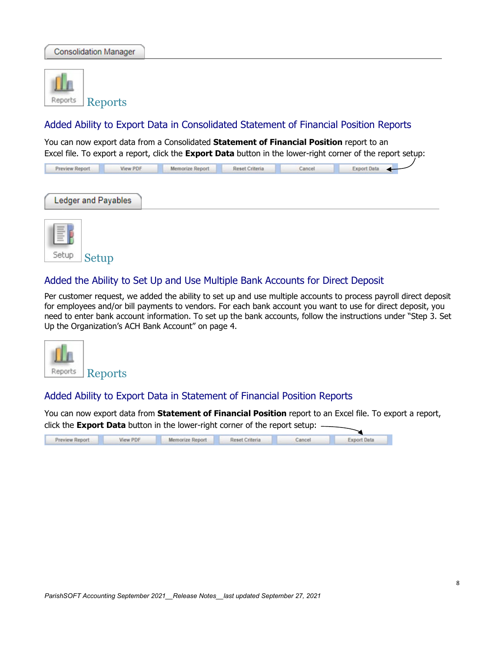

### Added Ability to Export Data in Consolidated Statement of Financial Position Reports

You can now export data from a Consolidated **Statement of Financial Position** report to an Excel file. To export a report, click the **Export Data** button in the lower-right corner of the report setup:

| Preview Report | View PDF | Memorize Report | Reset Criteria | Cancel | Export Data |
|----------------|----------|-----------------|----------------|--------|-------------|
|                |          |                 |                |        |             |

| Ledger and Payables |  |
|---------------------|--|
|                     |  |



### Added the Ability to Set Up and Use Multiple Bank Accounts for Direct Deposit

Per customer request, we added the ability to set up and use multiple accounts to process payroll direct deposit for employees and/or bill payments to vendors. For each bank account you want to use for direct deposit, you need to enter bank account information. To set up the bank accounts, follow the instructions under ["Step](#page-3-0) 3. Set Up the [Organization's](#page-3-0) ACH Bank Account" on page [4.](#page-3-0)



### Added Ability to Export Data in Statement of Financial Position Reports

You can now export data from **Statement of Financial Position** report to an Excel file. To export a report, click the **Export Data** button in the lower-right corner of the report setup:

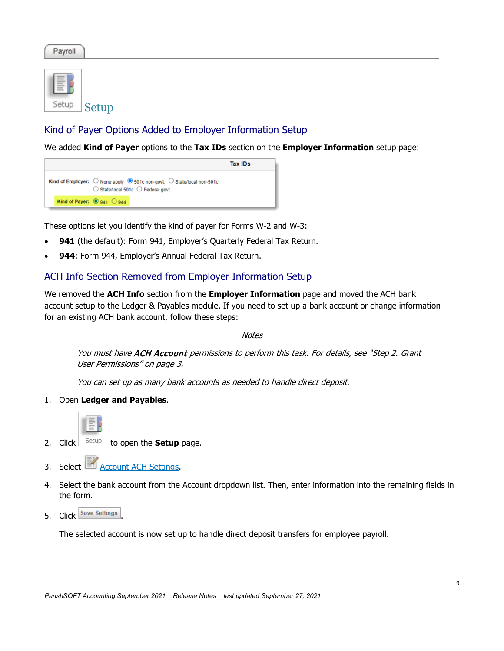Payroll



## Kind of Payer Options Added to Employer Information Setup

We added **Kind of Payer** options to the **Tax IDs** section on the **Employer Information** setup page:



These options let you identify the kind of payer for Forms W-2 and W-3:

- 941 (the default): Form 941, Employer's Quarterly Federal Tax Return.
- 944: Form 944, Employer's Annual Federal Tax Return.

### ACH Info Section Removed from Employer Information Setup

We removed the **ACH Info** section from the **Employer Information** page and moved the ACH bank account setup to the Ledger & Payables module. If you need to set up a bank account or change information for an existing ACH bank account, follow these steps:

**Notes** 

You must have ACH Account permissions to perform this task. For details, see ["Step](#page-2-0) 2. Grant User [Permissions"](#page-2-0) on pag[e 3.](#page-2-0)

You can set up as many bank accounts as needed to handle direct deposit.

1. Open **Ledger and Payables**.



- 2. Click  $\frac{\text{Setup}}{\text{Setup}}$  to open the **Setup** page.
- 3. Select **Account ACH Settings.**
- 4. Select the bank account from the Account dropdown list. Then, enter information into the remaining fields in the form.
- 5. Click Save Settings

The selected account is now set up to handle direct deposit transfers for employee payroll.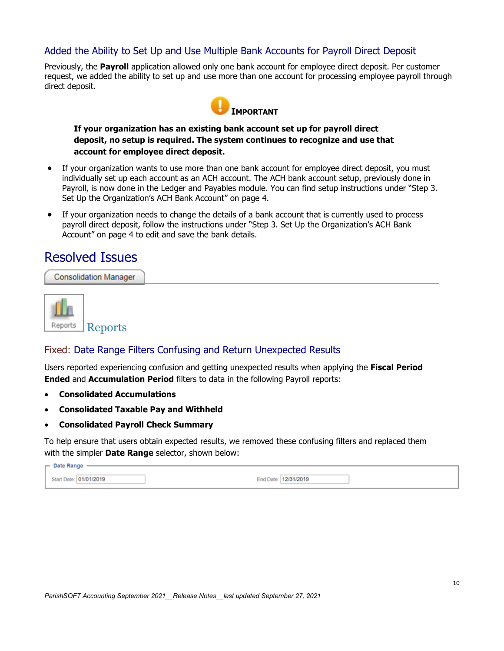### Added the Ability to Set Up and Use Multiple Bank Accounts for Payroll Direct Deposit

Previously, the **Payroll** application allowed only one bank account for employee direct deposit. Per customer request, we added the ability to set up and use more than one account for processing employee payroll through direct deposit.



**If your organization has an existing bank account set up for payroll direct deposit, no setup is required. The system continues to recognize and use that account for employee direct deposit.**

- If your organization wants to use more than one bank account for employee direct deposit, you must individually set up each account as an ACH account. The ACH bank account setup, previously done in Payroll, is now done in the Ledger and Payables module. You can find setup instructions under ["Step](#page-3-0) 3. Set Up the [Organization's](#page-3-0) ACH Bank Account" on page [4.](#page-3-0)
- If your organization needs to change the details of a bank account that is currently used to process payroll direct deposit, follow the instructions under "Step 3. Set Up the [Organization's](#page-3-0) ACH Bank [Account"](#page-3-0) on page [4](#page-3-0) to edit and save the bank details.

## Resolved Issues

**Consolidation Manager** 



### Fixed: Date Range Filters Confusing and Return Unexpected Results

Users reported experiencing confusion and getting unexpected results when applying the **Fiscal Period Ended** and **Accumulation Period** filters to data in the following Payroll reports:

- **Consolidated Accumulations**
- **Consolidated Taxable Pay and Withheld**
- **Consolidated Payroll Check Summary**

To help ensure that users obtain expected results, we removed these confusing filters and replaced them with the simpler **Date Range** selector, shown below:

| $\Gamma$ Date Range    |                         |  |
|------------------------|-------------------------|--|
| Start Date: 01/01/2019 | End Date:<br>12/31/2019 |  |